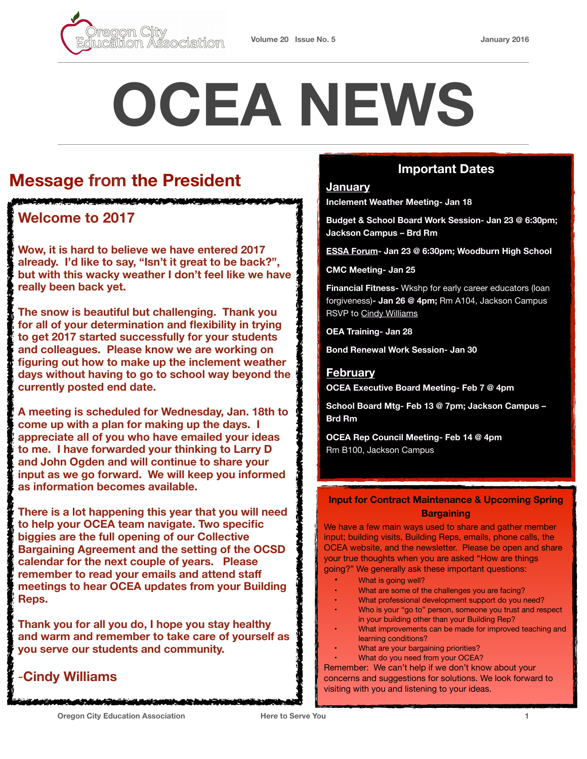

# **OCEA NEWS**

## **Message from the President**

## **Welcome to 2017**

**Wow, it is hard to believe we have entered 2017 already. I'd like to say, "Isn't it great to be back?", but with this wacky weather I don't feel like we have really been back yet.** 

**The snow is beautiful but challenging. Thank you for all of your determination and flexibility in trying to get 2017 started successfully for your students and colleagues. Please know we are working on figuring out how to make up the inclement weather days without having to go to school way beyond the currently posted end date.** 

**A meeting is scheduled for Wednesday, Jan. 18th to come up with a plan for making up the days. I appreciate all of you who have emailed your ideas to me. I have forwarded your thinking to Larry D and John Ogden and will continue to share your input as we go forward. We will keep you informed as information becomes available.** 

**There is a lot happening this year that you will need to help your OCEA team navigate. Two specific biggies are the full opening of our Collective Bargaining Agreement and the setting of the OCSD calendar for the next couple of years. Please remember to read your emails and attend staff meetings to hear OCEA updates from your Building Reps.** 

**Thank you for all you do, I hope you stay healthy and warm and remember to take care of yourself as you serve our students and community.** 

## -**Cindy Williams**

## **Important Dates**

## **January**

**Inclement Weather Meeting- Jan 18** 

**Budget & School Board Work Session- Jan 23 @ 6:30pm; Jackson Campus – Brd Rm**

**[ESSA Forum](http://www.ode.state.or.us/superintendent/priorities/essa-community-forums-flier-11-2016.pdf)- Jan 23 @ 6:30pm; Woodburn High School**

**CMC Meeting- Jan 25** 

**Financial Fitness-** Wkshp for early career educators (loan forgiveness)**- Jan 26 @ 4pm;** Rm A104, Jackson Campus RSVP to [Cindy Williams](mailto:cindy.williams@orecity.k12.or.us?subject=Financial%20Fitness%20RSVP)

**OEA Training- Jan 28** 

**Bond Renewal Work Session- Jan 30** 

## **February**

**OCEA Executive Board Meeting- Feb 7 @ 4pm**

**School Board Mtg- Feb 13 @ 7pm; Jackson Campus – Brd Rm**

**OCEA Rep Council Meeting- Feb 14 @ 4pm** Rm B100, Jackson Campus

## **Input for Contract Maintenance & Upcoming Spring Bargaining**

We have a few main ways used to share and gather member input; building visits, Building Reps, emails, phone calls, the OCEA website, and the newsletter. Please be open and share your true thoughts when you are asked "How are things going?" We generally ask these important questions:

- What is going well?
- What are some of the challenges you are facing?
- What professional development support do you need?
- Who is your "go to" person, someone you trust and respect
- in your building other than your Building Rep? What improvements can be made for improved teaching and
- learning conditions?
- What are your bargaining priorities?
- What do you need from your OCEA? Remember: We can't help if we don't know about your

concerns and suggestions for solutions. We look forward to visiting with you and listening to your ideas.